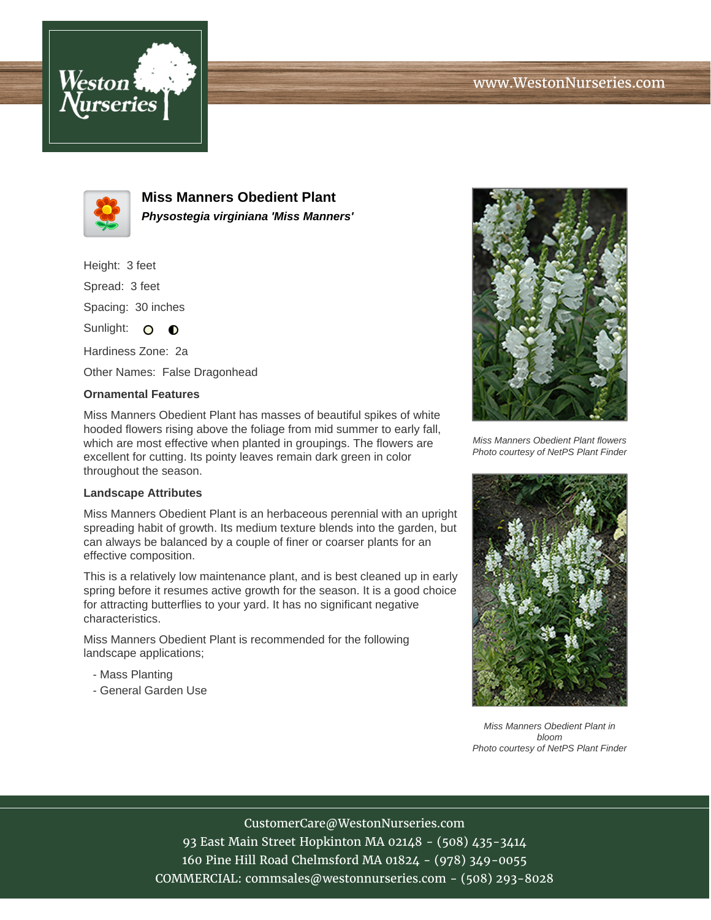



**Miss Manners Obedient Plant Physostegia virginiana 'Miss Manners'**

Height: 3 feet Spread: 3 feet Spacing: 30 inches Sunlight: O **O** 

Hardiness Zone: 2a

Other Names: False Dragonhead

## **Ornamental Features**

Miss Manners Obedient Plant has masses of beautiful spikes of white hooded flowers rising above the foliage from mid summer to early fall, which are most effective when planted in groupings. The flowers are excellent for cutting. Its pointy leaves remain dark green in color throughout the season.

## **Landscape Attributes**

Miss Manners Obedient Plant is an herbaceous perennial with an upright spreading habit of growth. Its medium texture blends into the garden, but can always be balanced by a couple of finer or coarser plants for an effective composition.

This is a relatively low maintenance plant, and is best cleaned up in early spring before it resumes active growth for the season. It is a good choice for attracting butterflies to your yard. It has no significant negative characteristics.

Miss Manners Obedient Plant is recommended for the following landscape applications;

- Mass Planting
- General Garden Use



Miss Manners Obedient Plant flowers Photo courtesy of NetPS Plant Finder



Miss Manners Obedient Plant in bloom Photo courtesy of NetPS Plant Finder

CustomerCare@WestonNurseries.com

93 East Main Street Hopkinton MA 02148 - (508) 435-3414 160 Pine Hill Road Chelmsford MA 01824 - (978) 349-0055 COMMERCIAL: commsales@westonnurseries.com - (508) 293-8028